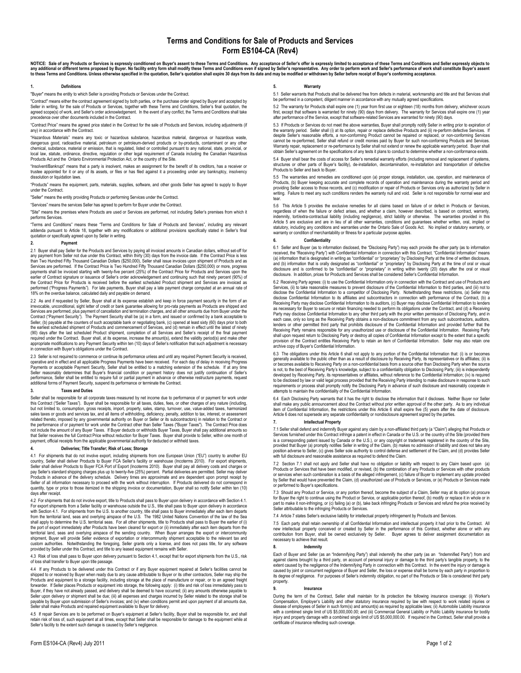# Terms and Conditions for Sale of Products and Services Form ES104-CA (Rev4)

NOTICE: Sale of any Products or Services is expressly conditioned on Buyer's assent to these Terms and Conditions. Any acceptance of Seller's offer is expressly limited to acceptance of these Terms and Conditions and Selle

### 1. Definitions

"Buyer" means the entity to which Seller is providing Products or Services under the Contract.

"Contract" means either the contract agreement signed by both parties, or the purchase order signed by Buyer and accepted by<br>Seller in writing, for the sale of Products or Services, together with these Terms and Conditions agreed scope(s) of work, and Seller's order acknowledgement. In the event of any conflict, the Terms and Conditions shall take precedence over other documents included in the Contract.

"Contract Price" means the agreed price stated in the Contract for the sale of Products and Services, including adjustments (if any) in accordance with the Contract.

"Hazardous Materials" means any toxic or hazardous substance, hazardous material, dangerous or hazardous waste, dangerous good, radioactive material, petroleum or petroleum-derived products or by-products, contaminant or any other<br>chemical, substance, material or emission, that is regulated, listed or controlled pursuant to any nati local law, statute, ordinance, directive, regulation or other legal requirement of Canada including the Canadian Hazardous<br>Products Act and the Ontario Environmental Protection Act, or the country of the Site.

"Insolvent/Bankrupt" means that a party is insolvent, makes an assignment for the benefit of its creditors, has a receiver or trustee appointed for it or any of its assets, or files or has filed against it a proceeding under any bankruptcy, insolvency dissolution or liquidation laws.

"Products" means the equipment, parts, materials, supplies, software, and other goods Seller has agreed to supply to Buyer under the Contract.

"Seller" means the entity providing Products or performing Services under the Contract.

"Services" means the services Seller has agreed to perform for Buyer under the Contract.

"Site" means the premises where Products are used or Services are performed, not including Seller's premises from which it performs Services.

"Terms and Conditions" means these "Terms and Conditions for Sale of Products and Services", including any relevant<br>addenda pursuant to Article 18, together with any modifications or additional provisions specifically stat

## 2. Payment

2.1 Buyer shall pay Seller for the Products and Services by paying all invoiced amounts in Canadian dollars, without set-off for<br>any payment from Seller not due under this Contract, within thirty (30) days from the invoice Services are performed. If the Contract Price is Two Hundred Fifty Thousand Canadian Dollars (\$250,000) or more, progress<br>payments shall be invoiced starting with twenty-five percent (25%) of the Contract Price for Product earlier of Contract signature or issuance of Seller's order acknowledgement and continuing such that ninety percent (90%) of<br>the Contract Price for Products is received before the earliest scheduled Product shipment and Se performed ("Progress Payments"). For late payments, Buyer shall pay a late payment charge computed at an annual rate of<br>18% on the overdue balance, calculated daily and payable on demand.

2.2 As and if requested by Seller, Buyer shall at its expense establish and keep in force payment security in the form of an irrevocable, unconditional, sight letter of credit or bank guarantee allowing for pro-rata payments as Products are shipped and<br>Services are performed, plus payment of cancellation and termination charges, and all other am Contract ("Payment Security"). The Payment Security shall be (a) in a form, and issued or confirmed by a bank acceptable to Seller, (b) payable at the counters of such acceptable bank or negotiating bank, (c) opened at least sixty (60) days prior to both the earliest scheduled shipment of Products and commencement of Services, and (d) remain in effect until the latest of ninety (90) days after the last scheduled Product shipment, completion of all Services and Seller's receipt of the final payment required under the Contract. Buyer shall, at its expense, increase the amount(s), extend the validity period(s) and make other<br>appropriate modifications to any Payment Security within ten (10) days of Seller's notification in connection with Buyer's obligations under the Contract.

2.3 Seller is not required to commence or continue its performance unless and until any required Payment Security is received,<br>operative and in effect and all applicable Progress Payments have been received. For each day o Payments or acceptable Payment Security, Seller shall be entitled to a matching extension of the schedule. If at any time<br>Seller reasonably determines that Buyer's financial condition or payment history does not justify co performance, Seller shall be entitled to require full or partial payment in advance or otherwise restructure payments, request<br>additional forms of Payment Security, suspend its performance or terminate the Contract.

### **Taxes and Duties**

Seller shall be responsible for all corporate taxes measured by net income due to performance of or payment for work under this Contract ("Seller Taxes"). Buyer shall be responsible for all taxes, duties, fees, or other charges of any nature (including, but not limited to, consumption, gross receipts, import, property, sales, stamp, turnover, use, value-added taxes, harmonized sales taxes or goods and services tax, and all items of withholding, deficiency, penalty, addition to tax, interest, or assessment<br>related thereto, imposed by any governmental authority on Buyer or Seller or its subcontrac not include the amount of any Buyer Taxes. If Buyer deducts or withholds Buyer Taxes, Buyer shall pay additional amounts so<br>that Seller receives the full Contract Price without reduction for Buyer Taxes. Buyer shall provid payment, official receipts from the applicable governmental authority for deducted or withheld taxes.

## 4. Deliveries; Title Transfer; Risk of Loss; Storage

4.1 For shipments that do not involve export, including shipments from one European Union ("EU") country to another EU country, Seller shall deliver Products to Buyer FCA Seller's facility or warehouse (Incoberns 2010). Fo quantity, type or price to those itemized in the shipping invoice or documentation, Buyer shall so notify Seller within ten (10) days after receipt.

4.2 For shipments that do not involve export, title to Products shall pass to Buyer upon delivery in accordance with Section 4.1. For export shipments from a Seller facility or warehouse outside the U.S., title shall pass to Buyer upon delivery in accordance<br>with Section 4.1. For shipments from the U.S. to another country, title shall pass to Buyer i from the territorial land, seas and overlying airspace of the U.S. The 1982 United Nations Convention of the law of the Sea<br>shall apply to determine the U.S. territorial seas. For all other shipments, title to Products sha territorial land, seas and overlying airspace of the sending country. When Buyer arranges the export or intercommunity<br>shipment, Buyer will provide Seller evidence of exportation or intercommunity shipment acceptable to th custom authorities. Notwithstanding the foregoing, Seller grants only a license, and does not pass title, for any software<br>provided by Seller under this Contract, and title to any leased equipment remains with Seller.

#### 4.3 Risk of loss shall pass to Buyer upon delivery pursuant to Section 4.1, except that for export shipments from the U.S., risk of loss shall transfer to Buyer upon title passage.

4.4 If any Products to be delivered under this Contract or if any Buyer equipment repaired at Seller's facilities cannot be<br>shipped to or received by Buyer when ready due to any cause attributable to Buyer or its other con Products and equipment to a storage facility, including storage at the place of manufacture or repair, or to an agreed freight forwarder. If Seller places Products or equipment into storage, the following apply: (i) title and risk of loss immediately pass to<br>Buyer, if they have not already passed, and delivery shall be deemed to have occurred; (ii Seller upon delivery or shipment shall be due; (iii) all expenses and charges incurred by Seller related to the storage shall be<br>payable by Buyer upon submission of Seller's invoices; and (iv) when conditions permit and up Seller shall make Products and repaired equipment available to Buyer for delivery.

4.5 If repair Services are to be performed on Buyer's equipment at Seller's facility, Buyer shall be responsible for, and shall retain risk of loss of, such equipment at all times, except that Seller shall be responsible for damage to the equipment while at<br>Seller's facility to the extent such damage is caused by Seller's negligence.

## Form ES104-CA (Rev4) July 2011 Page 1 of 2

### 5. Warranty

5.1 Seller warrants that Products shall be delivered free from defects in material, workmanship and title and that Services shall be performed in a competent, diligent manner in accordance with any mutually agreed specifications.

5.2 The warranty for Products shall expire one (1) year from first use or eighteen (18) months from delivery, whichever occurs first, except that software is warranted for ninety (90) days from delivery. The warranty for Services shall expire one (1) year after performance of the Service, except that software-related Services are warranted for ninety (90) days.

5.3 If Products or Services do not meet the above warranties, Buyer shall promptly notify Seller in writing prior to expiration of<br>the warranty period. Seller shall (i) at its option, repair or replace defective Products a cannot be re-performed, Seller shall refund or credit monies paid by Buyer for such non-conforming Products and Services.<br>Warranty repair, replacement or re-performance by Seller shall not extend or renew the applicable wa obtain Seller's agreement on the specifications of any tests it plans to conduct to determine whether a non-conformance exists.

5.4 Buyer shall bear the costs of access for Seller's remedial warranty efforts (including removal and replacement of systems, structures or other parts of Buyer's facility), de-installation, decontamination, re-installation and transportation of defective Products to Seller and back to Buyer.

5.5 The warranties and remedies are conditioned upon (a) proper storage, installation, use, operation, and maintenance of Products, (b) Buyer keeping accurate and complete records of operation and maintenance during the warranty period and providing Seller access to those records, and (c) modification or repair of Products or Services only as authorized by Seller in<br>writing. Failure to meet any such conditions renders the warranty null and void. Seller is no tear.

5.6 This Article 5 provides the exclusive remedies for all claims based on failure of or defect in Products or Services,<br>regardless of when the failure or defect arises, and whether a claim, however described, is based on indemnity, tort/extra-contractual liability (including negligence), strict liability or otherwise. The warranties provided in this<br>Article 5 are exclusive and are in lieu of all other warranties, conditions and guarantees statutory, including any conditions and warranties under the Ontario Sale of Goods Act. No implied or statutory warranty, or<br>warranty or condition of merchantability or fitness for a particular purpose applies.

## 6. Confidentiality

6.1 Seller and Buyer (as to information disclosed, the "Disclosing Party") may each provide the other party (as to information received, the "Receiving Party") with Confidential Information in connection with this Contract. "Confidential Information" means<br>(a) information that is designated in writing as "confidential" or "proprietary" by Disclos disclosure and is confirmed to be "confidential" or "proprietary" in writing within twenty (20) days after the oral or visual<br>disclosure. In addition, prices for Products and Services shall be considered Seller's Confident

6.2 Receiving Party agrees: (i) to use the Confidential Information only in connection with the Contract and use of Products and Services, (ii) to take reasonable measures to prevent disclosure of the Confidential Information to third parties, and (iii) not to be the Services, (ii) to take reasonable measures to prevent disclosure of the Confidentia disclose the Confidential Information to a competitor of Disclosing Party. Notwithstanding these restrictions, (a) Seller may<br>disclose Confidential Information to its affiliates and subcontractors in connection with perfor as necessary for Buyer to secure or retain financing needed to perform its obligations under the Contract, and (d) a Receiving Party may disclose Confidential Information to any other third party with the prior written permission of Disclosing Party, and in each case, only so long as the Receiving Party obtains a non-disclosure commitment from any such subcontractors, auditors,<br>lenders or other permitted third party that prohibits disclosure of the Confidential Information an Receiving Party remains responsible for any unauthorized use or disclosure of the Confidential Information. Receiving Party shall upon request return to Disclosing Party or destroy all copies of Confidential Information except to the extent that a specific<br>provision of the Contract entitles Receiving Party to retain an item of Confidential Info archive copy of Buyer's Confidential Information.

6.3 The obligations under this Article 6 shall not apply to any portion of the Confidential Information that: (i) is or becomes<br>generally available to the public other than as a result of disclosure by Receiving Party, its is not, to the best of Receiving Party's knowledge, subject to a confidentiality obligation to Disclosing Party; (iii) is independently<br>developed by Receiving Party, its representatives or affiliates, without reference to to be disclosed by law or valid legal process provided that the Receiving Party intending to make disclosure in response to such<br>requirements or process shall promptly notify the Disclosing Party in advance of such disclos

6.4 Each Disclosing Party warrants that it has the right to disclose the information that it discloses. Neither Buyer nor Seller<br>shall make any public announcement about the Contract without prior written approval of the o item of Confidential Information, the restrictions under this Article 6 shall expire five (5) years after the date of disclosure.<br>Article 6 does not supersede any separate confidentiality or nondisclosure agreement signed

## Intellectual Property

7.1 Seller shall defend and indemnify Buyer against any claim by a non-affiliated third party (a "Claim") alleging that Products or Services furnished under this Contract infringe a patent in effect in Canada or the U.S. or the country of the Site (provided there<br>is a corresponding patent issued by Canada or the U.S.), or any copyright or trademark reg provided that Buyer (a) promptly notifies Seller in writing of the Claim, (b) makes no admission of liability and does not take any<br>position adverse to Seller, (c) gives Seller sole authority to control defense and settlem with full disclosure and reasonable assistance as required to defend the Claim.

7.2 Section 7.1 shall not apply and Seller shall have no obligation or liability with respect to any Claim based upon (a)<br>Products or Services that have been modified, or revised, (b) the combination of any Products or Ser by Seller that would have prevented the Claim, (d) unauthorized use of Products or Services, or (e) Products or Services made or performed to Buyer's specifications.

7.3 Should any Product or Service, or any portion thereof, become the subject of a Claim, Seller may at its option (a) procure<br>for Buyer the right to continue using the Product or Service, or applicable portion thereof, (b Seller attributable to the infringing Products or Services.

7.4 Article 7 states Seller's exclusive liability for intellectual property infringement by Products and Services.

7.5 Each party shall retain ownership of all Confidential Information and intellectual property it had prior to the Contract. All new intellectual property conceived or created by Seller in the performance of this Contract, whether alone or with any contribution from Buyer, shall be owned exclusively by Seller. Buyer agrees to deliver assignment documentation as necessary to achieve that result.

### 8. Indemnity

Each of Buyer and Seller (as an "Indemnifying Party") shall indemnify the other party (as an "Indemnified Party") from and against claims brought by a third party, on account of personal injury or damage to the third party's tangible property, to the<br>extent caused by the negligence of the Indemnifying Party in connection with this Contract. In caused by joint or concurrent negligence of Buyer and Seller, the loss or expense shall be borne by each party in proportion to its degree of negligence. For purposes of Seller's indemnity obligation, no part of the Products or Site is considered third party property.

#### 9. Insurance

During the term of the Contract, Seller shall maintain for its protection the following insurance coverage: (i) Worker's<br>Compensation, Employer's Liability and other statutory insurance required by law with respect to work disease of employees of Seller in such form(s) and amount(s) as required by applicable laws; (ii) Automobile Liability insurance<br>with a combined single limit of US \$5,000,000.00; and (iii) Commercial General Liability or P certificate of insurance reflecting such coverage.